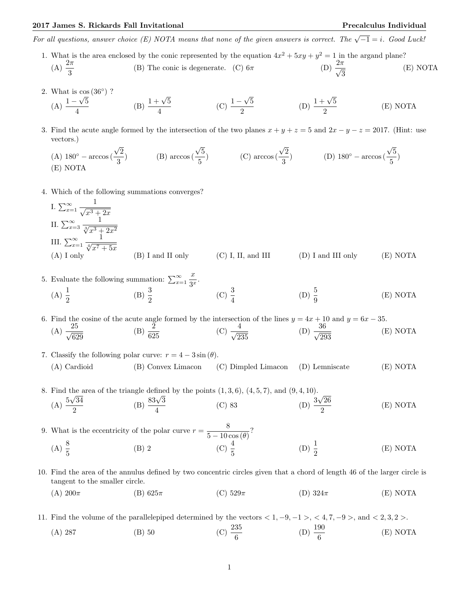(E) NOTA

For all questions, answer choice (E) NOTA means that none of the given answers is correct. The  $\sqrt{-1} = i$ . Good Luck!

- 1. What is the area enclosed by the conic represented by the equation  $4x^2 + 5xy + y^2 = 1$  in the argand plane? (A)  $\frac{2\pi}{3}$ (B) The conic is degenerate. (C)  $6\pi$ √ 3 (E) NOTA
- 2. What is  $\cos(36^\circ)$  ? (A)  $\frac{1-\sqrt{5}}{4}$ 4 (B)  $\frac{1+\sqrt{5}}{4}$ 4  $(C) \frac{1 -}{}$ √ 5  $\frac{1+\sqrt{5}}{2}$  (D)  $\frac{1+\sqrt{5}}{2}$ 2 (E) NOTA
- 3. Find the acute angle formed by the intersection of the two planes  $x + y + z = 5$  and  $2x y z = 2017$ . (Hint: use vectors.)

(A) 180° - arccos(
$$
\frac{\sqrt{2}}{3}
$$
)  
\n(B) arccos( $\frac{\sqrt{5}}{5}$ )  
\n(C) arccos( $\frac{\sqrt{2}}{3}$ )  
\n(D) 180° - arccos( $\frac{\sqrt{5}}{5}$ )

- 4. Which of the following summations converges?
	- I.  $\sum_{x=1}^{\infty}$  $\frac{1}{\sqrt{2}}$  $x^3+2x$ II.  $\sum_{x=3}^{\infty}$  $\frac{1}{\sqrt[3]{x^3+2x^2}}$ III.  $\sum_{x=1}^{\infty}$  $\frac{1}{\sqrt[4]{x^7+5x}}$ (A) I only (B) I and II only (C) I, II, and III (D) I and III only (E) NOTA
- 5. Evaluate the following summation:  $\sum_{x=1}^{\infty}$ x  $\frac{x}{3^x}$ . (A)  $\frac{1}{2}$ (B)  $\frac{3}{2}$ (C)  $\frac{3}{4}$ (D)  $\frac{5}{9}$ (E) NOTA

6. Find the cosine of the acute angle formed by the intersection of the lines  $y = 4x + 10$  and  $y = 6x - 35$ .  $(A) \frac{25}{\sqrt{25}}$ 629 (B)  $\frac{2}{625}$  $(C) \frac{4}{\sqrt{2}}$ 235  $(D) \frac{36}{\sqrt{2}}$ 293 (E) NOTA

- 7. Classify the following polar curve:  $r = 4 3 \sin(\theta)$ . (A) Cardioid (B) Convex Limacon (C) Dimpled Limacon (D) Lemniscate (E) NOTA
- 8. Find the area of the triangle defined by the points  $(1,3,6)$ ,  $(4,5,7)$ , and  $(9,4,10)$ . (A)  $\frac{5\sqrt{34}}{2}$ 2 gie deime<br>(B)  $\frac{83\sqrt{3}}{4}$ 4 (C) 83 (D)  $\frac{3}{5}$ √ 26 2

9. What is the eccentricity of the polar curve  $r = \frac{8}{5 \times 10^{-10}}$  $\frac{6}{5-10\cos(\theta)}$ ? (A)  $\frac{8}{5}$  (B) 2 (C)  $\frac{4}{5}$ (D)  $\frac{1}{2}$ (E) NOTA

- 10. Find the area of the annulus defined by two concentric circles given that a chord of length 46 of the larger circle is tangent to the smaller circle.
	- (A)  $200\pi$  (B)  $625\pi$  (C)  $529\pi$  (D)  $324\pi$  (E) NOTA
- 11. Find the volume of the parallelepiped determined by the vectors  $< 1, -9, -1 >, < 4, 7, -9 >$ , and  $< 2, 3, 2 >$ . (A) 287 (B) 50 (C)  $\frac{235}{6}$ (D)  $\frac{190}{6}$ (E) NOTA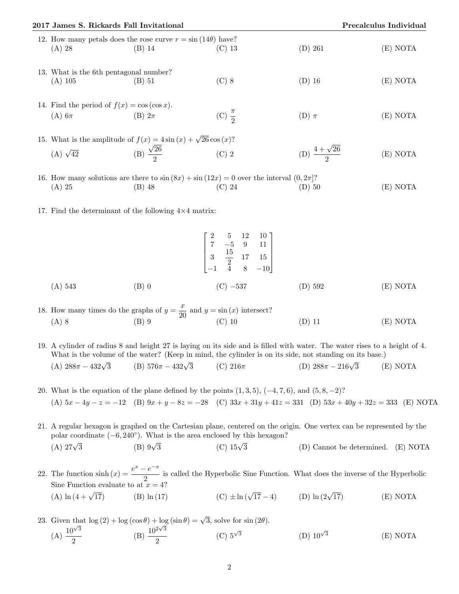| 2017 James S. Rickards Fall Invitational                        |                                                                                                  |                     |                             | Precalculus Individual |
|-----------------------------------------------------------------|--------------------------------------------------------------------------------------------------|---------------------|-----------------------------|------------------------|
| $(A)$ 28                                                        | 12. How many petals does the rose curve $r = \sin(14\theta)$ have?<br>$(B)$ 14                   | $(C)$ 13            | $(D)$ 261                   | (E) NOTA               |
| 13. What is the 6th pentagonal number?<br>$(A)$ 105             | $(B)$ 51                                                                                         | $(C)$ 8             | $(D)$ 16                    | (E) NOTA               |
| 14. Find the period of $f(x) = \cos(\cos x)$ .<br>$(A)$ 6 $\pi$ | $(B)$ $2\pi$                                                                                     | (C) $\frac{\pi}{2}$ | $(D)$ $\pi$                 | (E) NOTA               |
| (A) $\sqrt{42}$                                                 | 15. What is the amplitude of $f(x) = 4\sin(x) + \sqrt{26}\cos(x)$ ?<br>(B) $\frac{\sqrt{26}}{2}$ | $(C)$ 2             | (D) $\frac{4+\sqrt{26}}{2}$ | (E) NOTA               |

16. How many solutions are there to  $\sin(8x) + \sin(12x) = 0$  over the interval  $(0, 2\pi]$ ? (A) 25 (B) 48 (C) 24 (D) 50 (E) NOTA

17. Find the determinant of the following  $4\times 4$  matrix:

$$
\begin{bmatrix} 2 & 5 & 12 & 10 \\ 7 & -5 & 9 & 11 \\ 3 & \frac{15}{2} & 17 & 15 \\ -1 & 4 & 8 & -10 \end{bmatrix}
$$
  
(A) 543  
(B) 0  
(C) -537  
(D) 592  
(E) NOTA

2 5 12 12 12 12 12 12

18. How many times do the graphs of  $y = \frac{x}{g}$  $\frac{x}{20}$  and  $y = \sin(x)$  intersect? (A) 8 (B) 9 (C) 10 (D) 11 (E) NOTA

19. A cylinder of radius 8 and height 27 is laying on its side and is filled with water. The water rises to a height of 4. What is the volume of the water? (Keep in mind, the cylinder is on its side, not standing on its base.)<br>
(A)  $288\pi - 432\sqrt{3}$  (B)  $576\pi - 432\sqrt{3}$  (C)  $216\pi$  (D)  $288\pi - 216\sqrt{3}$  (I)

(A) 
$$
288\pi - 432\sqrt{3}
$$
 (B)  $576\pi - 432\sqrt{3}$  (C)  $216\pi$  (D)  $288\pi - 216\sqrt{3}$  (E) NOTA

- 20. What is the equation of the plane defined by the points  $(1, 3, 5)$ ,  $(-4, 7, 6)$ , and  $(5, 8, -2)$ ? (A)  $5x - 4y - z = -12$  (B)  $9x + y - 8z = -28$  (C)  $33x + 31y + 41z = 331$  (D)  $53x + 40y + 32z = 333$  (E) NOTA
- 21. A regular hexagon is graphed on the Cartesian plane, centered on the origin. One vertex can be represented by the polar coordinate  $(-6, 240°)$ . What is the area enclosed by this hexagon? (A)  $27\sqrt{3}$  $(B)$   $9\sqrt{3}$  $(C)$  15√3 3 (D) Cannot be determined. (E) NOTA
- 22. The function  $\sinh(x) = \frac{e^x e^{-x}}{2}$  $\frac{1}{2}$  is called the Hyperbolic Sine Function. What does the inverse of the Hyperbolic Sine Function evaluate to at  $x = 4$ ? Sine Function evaluate to at  $x = 4$ ?<br>(A)  $\ln(4 + \sqrt{17})$  (B)  $\ln(17)$ 17) (B)  $\ln(17)$  (C)  $\pm \ln(\sqrt{17} - 4)$  (D)  $\ln(2\sqrt{17})$ 17) (E) NOTA
- 23. Given that  $\log(2) + \log(\cos \theta) + \log(\sin \theta) = \sqrt{3}$ , solve for sin (2 $\theta$ ).  $(A) \frac{10^{\sqrt{3}}}{2}$  $rac{10^{2}\sqrt{3}}{2}$  (B)  $rac{10^{2}\sqrt{3}}{2}$  $\frac{2\sqrt{3}}{2}$  (C)  $5^{\sqrt{3}}$ (D)  $10^{\sqrt{3}}$ (E) NOTA